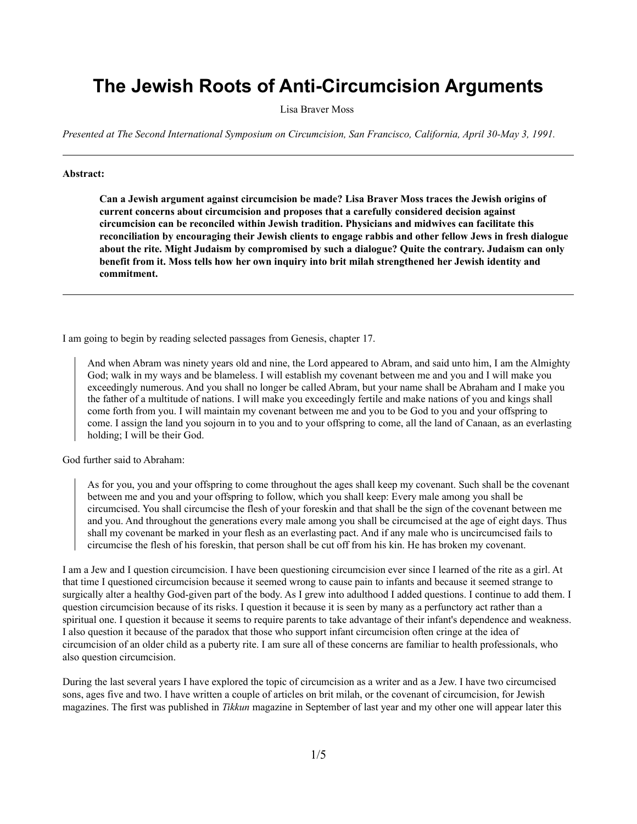## **The Jewish Roots of Anti-Circumcision Arguments**

Lisa Braver Moss

*Presented at The Second International Symposium on Circumcision, San Francisco, California, April 30-May 3, 1991.* 

## **Abstract:**

**Can a Jewish argument against circumcision be made? Lisa Braver Moss traces the Jewish origins of current concerns about circumcision and proposes that a carefully considered decision against circumcision can be reconciled within Jewish tradition. Physicians and midwives can facilitate this reconciliation by encouraging their Jewish clients to engage rabbis and other fellow Jews in fresh dialogue about the rite. Might Judaism by compromised by such a dialogue? Quite the contrary. Judaism can only benefit from it. Moss tells how her own inquiry into brit milah strengthened her Jewish identity and commitment.**

I am going to begin by reading selected passages from Genesis, chapter 17.

And when Abram was ninety years old and nine, the Lord appeared to Abram, and said unto him, I am the Almighty God; walk in my ways and be blameless. I will establish my covenant between me and you and I will make you exceedingly numerous. And you shall no longer be called Abram, but your name shall be Abraham and I make you the father of a multitude of nations. I will make you exceedingly fertile and make nations of you and kings shall come forth from you. I will maintain my covenant between me and you to be God to you and your offspring to come. I assign the land you sojourn in to you and to your offspring to come, all the land of Canaan, as an everlasting holding; I will be their God.

God further said to Abraham:

As for you, you and your offspring to come throughout the ages shall keep my covenant. Such shall be the covenant between me and you and your offspring to follow, which you shall keep: Every male among you shall be circumcised. You shall circumcise the flesh of your foreskin and that shall be the sign of the covenant between me and you. And throughout the generations every male among you shall be circumcised at the age of eight days. Thus shall my covenant be marked in your flesh as an everlasting pact. And if any male who is uncircumcised fails to circumcise the flesh of his foreskin, that person shall be cut off from his kin. He has broken my covenant.

I am a Jew and I question circumcision. I have been questioning circumcision ever since I learned of the rite as a girl. At that time I questioned circumcision because it seemed wrong to cause pain to infants and because it seemed strange to surgically alter a healthy God-given part of the body. As I grew into adulthood I added questions. I continue to add them. I question circumcision because of its risks. I question it because it is seen by many as a perfunctory act rather than a spiritual one. I question it because it seems to require parents to take advantage of their infant's dependence and weakness. I also question it because of the paradox that those who support infant circumcision often cringe at the idea of circumcision of an older child as a puberty rite. I am sure all of these concerns are familiar to health professionals, who also question circumcision.

During the last several years I have explored the topic of circumcision as a writer and as a Jew. I have two circumcised sons, ages five and two. I have written a couple of articles on brit milah, or the covenant of circumcision, for Jewish magazines. The first was published in *Tikkun* magazine in September of last year and my other one will appear later this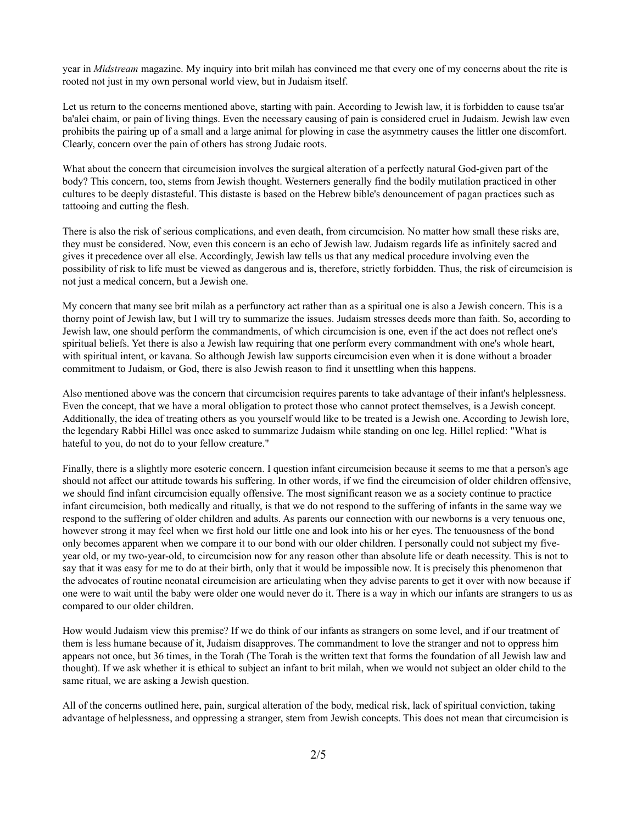year in *Midstream* magazine. My inquiry into brit milah has convinced me that every one of my concerns about the rite is rooted not just in my own personal world view, but in Judaism itself.

Let us return to the concerns mentioned above, starting with pain. According to Jewish law, it is forbidden to cause tsa'ar ba'alei chaim, or pain of living things. Even the necessary causing of pain is considered cruel in Judaism. Jewish law even prohibits the pairing up of a small and a large animal for plowing in case the asymmetry causes the littler one discomfort. Clearly, concern over the pain of others has strong Judaic roots.

What about the concern that circumcision involves the surgical alteration of a perfectly natural God-given part of the body? This concern, too, stems from Jewish thought. Westerners generally find the bodily mutilation practiced in other cultures to be deeply distasteful. This distaste is based on the Hebrew bible's denouncement of pagan practices such as tattooing and cutting the flesh.

There is also the risk of serious complications, and even death, from circumcision. No matter how small these risks are, they must be considered. Now, even this concern is an echo of Jewish law. Judaism regards life as infinitely sacred and gives it precedence over all else. Accordingly, Jewish law tells us that any medical procedure involving even the possibility of risk to life must be viewed as dangerous and is, therefore, strictly forbidden. Thus, the risk of circumcision is not just a medical concern, but a Jewish one.

My concern that many see brit milah as a perfunctory act rather than as a spiritual one is also a Jewish concern. This is a thorny point of Jewish law, but I will try to summarize the issues. Judaism stresses deeds more than faith. So, according to Jewish law, one should perform the commandments, of which circumcision is one, even if the act does not reflect one's spiritual beliefs. Yet there is also a Jewish law requiring that one perform every commandment with one's whole heart, with spiritual intent, or kavana. So although Jewish law supports circumcision even when it is done without a broader commitment to Judaism, or God, there is also Jewish reason to find it unsettling when this happens.

Also mentioned above was the concern that circumcision requires parents to take advantage of their infant's helplessness. Even the concept, that we have a moral obligation to protect those who cannot protect themselves, is a Jewish concept. Additionally, the idea of treating others as you yourself would like to be treated is a Jewish one. According to Jewish lore, the legendary Rabbi Hillel was once asked to summarize Judaism while standing on one leg. Hillel replied: "What is hateful to you, do not do to your fellow creature."

Finally, there is a slightly more esoteric concern. I question infant circumcision because it seems to me that a person's age should not affect our attitude towards his suffering. In other words, if we find the circumcision of older children offensive, we should find infant circumcision equally offensive. The most significant reason we as a society continue to practice infant circumcision, both medically and ritually, is that we do not respond to the suffering of infants in the same way we respond to the suffering of older children and adults. As parents our connection with our newborns is a very tenuous one, however strong it may feel when we first hold our little one and look into his or her eyes. The tenuousness of the bond only becomes apparent when we compare it to our bond with our older children. I personally could not subject my fiveyear old, or my two-year-old, to circumcision now for any reason other than absolute life or death necessity. This is not to say that it was easy for me to do at their birth, only that it would be impossible now. It is precisely this phenomenon that the advocates of routine neonatal circumcision are articulating when they advise parents to get it over with now because if one were to wait until the baby were older one would never do it. There is a way in which our infants are strangers to us as compared to our older children.

How would Judaism view this premise? If we do think of our infants as strangers on some level, and if our treatment of them is less humane because of it, Judaism disapproves. The commandment to love the stranger and not to oppress him appears not once, but 36 times, in the Torah (The Torah is the written text that forms the foundation of all Jewish law and thought). If we ask whether it is ethical to subject an infant to brit milah, when we would not subject an older child to the same ritual, we are asking a Jewish question.

All of the concerns outlined here, pain, surgical alteration of the body, medical risk, lack of spiritual conviction, taking advantage of helplessness, and oppressing a stranger, stem from Jewish concepts. This does not mean that circumcision is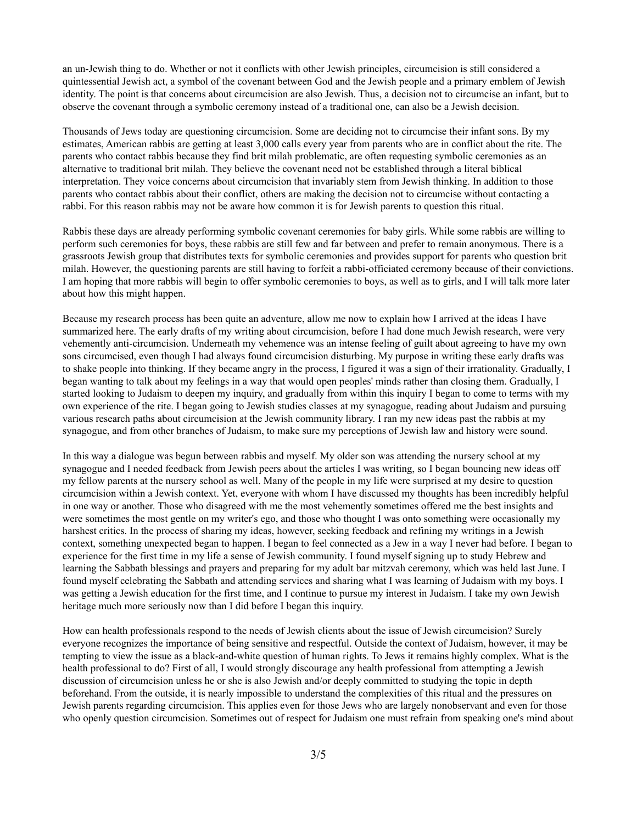an un-Jewish thing to do. Whether or not it conflicts with other Jewish principles, circumcision is still considered a quintessential Jewish act, a symbol of the covenant between God and the Jewish people and a primary emblem of Jewish identity. The point is that concerns about circumcision are also Jewish. Thus, a decision not to circumcise an infant, but to observe the covenant through a symbolic ceremony instead of a traditional one, can also be a Jewish decision.

Thousands of Jews today are questioning circumcision. Some are deciding not to circumcise their infant sons. By my estimates, American rabbis are getting at least 3,000 calls every year from parents who are in conflict about the rite. The parents who contact rabbis because they find brit milah problematic, are often requesting symbolic ceremonies as an alternative to traditional brit milah. They believe the covenant need not be established through a literal biblical interpretation. They voice concerns about circumcision that invariably stem from Jewish thinking. In addition to those parents who contact rabbis about their conflict, others are making the decision not to circumcise without contacting a rabbi. For this reason rabbis may not be aware how common it is for Jewish parents to question this ritual.

Rabbis these days are already performing symbolic covenant ceremonies for baby girls. While some rabbis are willing to perform such ceremonies for boys, these rabbis are still few and far between and prefer to remain anonymous. There is a grassroots Jewish group that distributes texts for symbolic ceremonies and provides support for parents who question brit milah. However, the questioning parents are still having to forfeit a rabbi-officiated ceremony because of their convictions. I am hoping that more rabbis will begin to offer symbolic ceremonies to boys, as well as to girls, and I will talk more later about how this might happen.

Because my research process has been quite an adventure, allow me now to explain how I arrived at the ideas I have summarized here. The early drafts of my writing about circumcision, before I had done much Jewish research, were very vehemently anti-circumcision. Underneath my vehemence was an intense feeling of guilt about agreeing to have my own sons circumcised, even though I had always found circumcision disturbing. My purpose in writing these early drafts was to shake people into thinking. If they became angry in the process, I figured it was a sign of their irrationality. Gradually, I began wanting to talk about my feelings in a way that would open peoples' minds rather than closing them. Gradually, I started looking to Judaism to deepen my inquiry, and gradually from within this inquiry I began to come to terms with my own experience of the rite. I began going to Jewish studies classes at my synagogue, reading about Judaism and pursuing various research paths about circumcision at the Jewish community library. I ran my new ideas past the rabbis at my synagogue, and from other branches of Judaism, to make sure my perceptions of Jewish law and history were sound.

In this way a dialogue was begun between rabbis and myself. My older son was attending the nursery school at my synagogue and I needed feedback from Jewish peers about the articles I was writing, so I began bouncing new ideas off my fellow parents at the nursery school as well. Many of the people in my life were surprised at my desire to question circumcision within a Jewish context. Yet, everyone with whom I have discussed my thoughts has been incredibly helpful in one way or another. Those who disagreed with me the most vehemently sometimes offered me the best insights and were sometimes the most gentle on my writer's ego, and those who thought I was onto something were occasionally my harshest critics. In the process of sharing my ideas, however, seeking feedback and refining my writings in a Jewish context, something unexpected began to happen. I began to feel connected as a Jew in a way I never had before. I began to experience for the first time in my life a sense of Jewish community. I found myself signing up to study Hebrew and learning the Sabbath blessings and prayers and preparing for my adult bar mitzvah ceremony, which was held last June. I found myself celebrating the Sabbath and attending services and sharing what I was learning of Judaism with my boys. I was getting a Jewish education for the first time, and I continue to pursue my interest in Judaism. I take my own Jewish heritage much more seriously now than I did before I began this inquiry.

How can health professionals respond to the needs of Jewish clients about the issue of Jewish circumcision? Surely everyone recognizes the importance of being sensitive and respectful. Outside the context of Judaism, however, it may be tempting to view the issue as a black-and-white question of human rights. To Jews it remains highly complex. What is the health professional to do? First of all, I would strongly discourage any health professional from attempting a Jewish discussion of circumcision unless he or she is also Jewish and/or deeply committed to studying the topic in depth beforehand. From the outside, it is nearly impossible to understand the complexities of this ritual and the pressures on Jewish parents regarding circumcision. This applies even for those Jews who are largely nonobservant and even for those who openly question circumcision. Sometimes out of respect for Judaism one must refrain from speaking one's mind about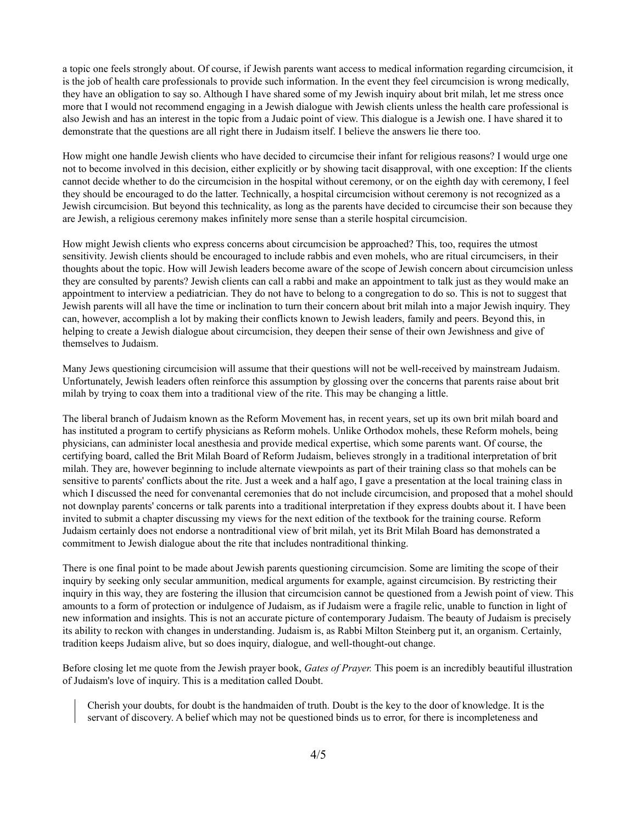a topic one feels strongly about. Of course, if Jewish parents want access to medical information regarding circumcision, it is the job of health care professionals to provide such information. In the event they feel circumcision is wrong medically, they have an obligation to say so. Although I have shared some of my Jewish inquiry about brit milah, let me stress once more that I would not recommend engaging in a Jewish dialogue with Jewish clients unless the health care professional is also Jewish and has an interest in the topic from a Judaic point of view. This dialogue is a Jewish one. I have shared it to demonstrate that the questions are all right there in Judaism itself. I believe the answers lie there too.

How might one handle Jewish clients who have decided to circumcise their infant for religious reasons? I would urge one not to become involved in this decision, either explicitly or by showing tacit disapproval, with one exception: If the clients cannot decide whether to do the circumcision in the hospital without ceremony, or on the eighth day with ceremony, I feel they should be encouraged to do the latter. Technically, a hospital circumcision without ceremony is not recognized as a Jewish circumcision. But beyond this technicality, as long as the parents have decided to circumcise their son because they are Jewish, a religious ceremony makes infinitely more sense than a sterile hospital circumcision.

How might Jewish clients who express concerns about circumcision be approached? This, too, requires the utmost sensitivity. Jewish clients should be encouraged to include rabbis and even mohels, who are ritual circumcisers, in their thoughts about the topic. How will Jewish leaders become aware of the scope of Jewish concern about circumcision unless they are consulted by parents? Jewish clients can call a rabbi and make an appointment to talk just as they would make an appointment to interview a pediatrician. They do not have to belong to a congregation to do so. This is not to suggest that Jewish parents will all have the time or inclination to turn their concern about brit milah into a major Jewish inquiry. They can, however, accomplish a lot by making their conflicts known to Jewish leaders, family and peers. Beyond this, in helping to create a Jewish dialogue about circumcision, they deepen their sense of their own Jewishness and give of themselves to Judaism.

Many Jews questioning circumcision will assume that their questions will not be well-received by mainstream Judaism. Unfortunately, Jewish leaders often reinforce this assumption by glossing over the concerns that parents raise about brit milah by trying to coax them into a traditional view of the rite. This may be changing a little.

The liberal branch of Judaism known as the Reform Movement has, in recent years, set up its own brit milah board and has instituted a program to certify physicians as Reform mohels. Unlike Orthodox mohels, these Reform mohels, being physicians, can administer local anesthesia and provide medical expertise, which some parents want. Of course, the certifying board, called the Brit Milah Board of Reform Judaism, believes strongly in a traditional interpretation of brit milah. They are, however beginning to include alternate viewpoints as part of their training class so that mohels can be sensitive to parents' conflicts about the rite. Just a week and a half ago, I gave a presentation at the local training class in which I discussed the need for convenantal ceremonies that do not include circumcision, and proposed that a mohel should not downplay parents' concerns or talk parents into a traditional interpretation if they express doubts about it. I have been invited to submit a chapter discussing my views for the next edition of the textbook for the training course. Reform Judaism certainly does not endorse a nontraditional view of brit milah, yet its Brit Milah Board has demonstrated a commitment to Jewish dialogue about the rite that includes nontraditional thinking.

There is one final point to be made about Jewish parents questioning circumcision. Some are limiting the scope of their inquiry by seeking only secular ammunition, medical arguments for example, against circumcision. By restricting their inquiry in this way, they are fostering the illusion that circumcision cannot be questioned from a Jewish point of view. This amounts to a form of protection or indulgence of Judaism, as if Judaism were a fragile relic, unable to function in light of new information and insights. This is not an accurate picture of contemporary Judaism. The beauty of Judaism is precisely its ability to reckon with changes in understanding. Judaism is, as Rabbi Milton Steinberg put it, an organism. Certainly, tradition keeps Judaism alive, but so does inquiry, dialogue, and well-thought-out change.

Before closing let me quote from the Jewish prayer book, *Gates of Prayer.* This poem is an incredibly beautiful illustration of Judaism's love of inquiry. This is a meditation called Doubt.

Cherish your doubts, for doubt is the handmaiden of truth. Doubt is the key to the door of knowledge. It is the servant of discovery. A belief which may not be questioned binds us to error, for there is incompleteness and